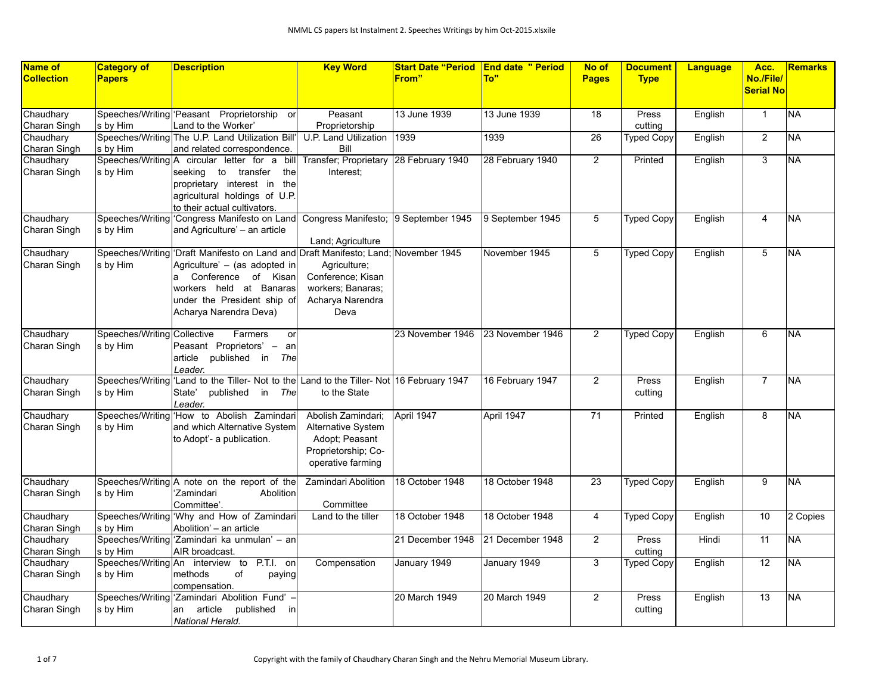| Name of           | <b>Category of</b>          | <b>Description</b>                                                                        | <b>Key Word</b>                      |                  | <b>Start Date "Period End date " Period</b> | No of           | <b>Document</b>   | <b>Language</b> | Acc.             | <b>Remarks</b>  |
|-------------------|-----------------------------|-------------------------------------------------------------------------------------------|--------------------------------------|------------------|---------------------------------------------|-----------------|-------------------|-----------------|------------------|-----------------|
| <b>Collection</b> | <b>Papers</b>               |                                                                                           |                                      | From"            | To"                                         | <b>Pages</b>    | <b>Type</b>       |                 | No./File/        |                 |
|                   |                             |                                                                                           |                                      |                  |                                             |                 |                   |                 | <b>Serial No</b> |                 |
|                   |                             |                                                                                           |                                      |                  |                                             |                 |                   |                 |                  |                 |
| Chaudhary         |                             | Speeches/Writing Peasant Proprietorship or                                                | Peasant                              | 13 June 1939     | 13 June 1939                                | 18              | Press             | English         | $\overline{1}$   | <b>NA</b>       |
| Charan Singh      | s by Him                    | Land to the Worker'                                                                       | Proprietorship                       |                  |                                             |                 | cutting           |                 |                  |                 |
| Chaudhary         |                             | Speeches/Writing The U.P. Land Utilization Bill                                           | U.P. Land Utilization                | 1939             | 1939                                        | $\overline{26}$ | <b>Typed Copy</b> | English         | $\overline{2}$   | NΑ              |
| Charan Singh      | s by Him                    | and related correspondence.                                                               | Bill                                 |                  |                                             |                 |                   |                 |                  |                 |
| Chaudhary         |                             | Speeches/Writing A circular letter for a bill                                             | Transfer; Proprietary                | 28 February 1940 | 28 February 1940                            | $\overline{2}$  | Printed           | English         | 3                | <b>NA</b>       |
| Charan Singh      | s by Him                    | seeking to transfer<br>the                                                                | Interest:                            |                  |                                             |                 |                   |                 |                  |                 |
|                   |                             | proprietary interest in the                                                               |                                      |                  |                                             |                 |                   |                 |                  |                 |
|                   |                             | agricultural holdings of U.P.                                                             |                                      |                  |                                             |                 |                   |                 |                  |                 |
|                   |                             | to their actual cultivators.                                                              |                                      |                  |                                             |                 |                   |                 |                  |                 |
| Chaudhary         |                             | Speeches/Writing Congress Manifesto on Land                                               | Congress Manifesto; 9 September 1945 |                  | 9 September 1945                            | 5               | <b>Typed Copy</b> | English         | 4                | NA.             |
| Charan Singh      | s by Him                    | and Agriculture' - an article                                                             |                                      |                  |                                             |                 |                   |                 |                  |                 |
|                   |                             |                                                                                           | Land; Agriculture                    |                  |                                             |                 |                   |                 |                  |                 |
| Chaudhary         |                             | Speeches/Writing 'Draft Manifesto on Land and Draft Manifesto; Land; November 1945        |                                      |                  | November 1945                               | 5               | <b>Typed Copy</b> | English         | $\overline{5}$   | <b>NA</b>       |
| Charan Singh      | s by Him                    | Agriculture' - (as adopted in                                                             | Agriculture;                         |                  |                                             |                 |                   |                 |                  |                 |
|                   |                             | Conference of Kisan<br>la                                                                 | Conference; Kisan                    |                  |                                             |                 |                   |                 |                  |                 |
|                   |                             | workers held at Banaras                                                                   | workers; Banaras;                    |                  |                                             |                 |                   |                 |                  |                 |
|                   |                             | under the President ship of                                                               | Acharya Narendra                     |                  |                                             |                 |                   |                 |                  |                 |
|                   |                             | Acharya Narendra Deva)                                                                    | Deva                                 |                  |                                             |                 |                   |                 |                  |                 |
|                   |                             |                                                                                           |                                      |                  |                                             |                 |                   |                 |                  |                 |
| Chaudhary         | Speeches/Writing Collective | Farmers<br>or                                                                             |                                      | 23 November 1946 | 23 November 1946                            | $\overline{2}$  | <b>Typed Copy</b> | English         | 6                | <b>NA</b>       |
| Charan Singh      | s by Him                    | Peasant Proprietors' - an                                                                 |                                      |                  |                                             |                 |                   |                 |                  |                 |
|                   |                             | article published in The                                                                  |                                      |                  |                                             |                 |                   |                 |                  |                 |
|                   |                             | Leader.                                                                                   |                                      |                  |                                             |                 |                   |                 |                  |                 |
| Chaudhary         |                             | Speeches/Writing 'Land to the Tiller- Not to the Land to the Tiller- Not 16 February 1947 |                                      |                  | 16 February 1947                            | $\overline{2}$  | Press             | English         | $\overline{7}$   | NA              |
| Charan Singh      | s by Him                    | State'<br>published<br>in<br>The                                                          | to the State                         |                  |                                             |                 | cutting           |                 |                  |                 |
|                   |                             | Leader.                                                                                   |                                      |                  |                                             |                 |                   |                 |                  |                 |
| Chaudhary         |                             | Speeches/Writing 'How to Abolish Zamindari                                                | Abolish Zamindari;                   | April 1947       | April 1947                                  | $\overline{71}$ | Printed           | English         | $\overline{8}$   | <b>NA</b>       |
| Charan Singh      | ls by Him                   | and which Alternative System                                                              | Alternative System                   |                  |                                             |                 |                   |                 |                  |                 |
|                   |                             | to Adopt'- a publication.                                                                 | Adopt; Peasant                       |                  |                                             |                 |                   |                 |                  |                 |
|                   |                             |                                                                                           | Proprietorship; Co-                  |                  |                                             |                 |                   |                 |                  |                 |
|                   |                             |                                                                                           | operative farming                    |                  |                                             |                 |                   |                 |                  |                 |
| Chaudhary         |                             | Speeches/Writing A note on the report of the                                              | Zamindari Abolition                  | 18 October 1948  | 18 October 1948                             | 23              | <b>Typed Copy</b> | English         | 9                | <b>NA</b>       |
| Charan Singh      | s by Him                    | Zamindari<br>Abolition                                                                    |                                      |                  |                                             |                 |                   |                 |                  |                 |
|                   |                             | Committee'.                                                                               | Committee                            |                  |                                             |                 |                   |                 |                  |                 |
| Chaudhary         |                             | Speeches/Writing 'Why and How of Zamindari                                                | Land to the tiller                   | 18 October 1948  | 18 October 1948                             | $\overline{4}$  | <b>Typed Copy</b> | English         | $\overline{10}$  | 2 Copies        |
| Charan Singh      | s by Him                    | Abolition' - an article                                                                   |                                      |                  |                                             |                 |                   |                 |                  |                 |
| Chaudhary         |                             | Speeches/Writing 'Zamindari ka unmulan' - an                                              |                                      | 21 December 1948 | 21 December 1948                            | $\overline{2}$  | Press             | Hindi           | 11               | <b>NA</b>       |
| Charan Singh      | s by Him                    | AIR broadcast.                                                                            |                                      |                  |                                             |                 | cutting           |                 |                  |                 |
| Chaudhary         |                             | Speeches/Writing An interview to P.T.I. on                                                | Compensation                         | January 1949     | January 1949                                | 3               | <b>Typed Copy</b> | English         | $\overline{12}$  | $\overline{NA}$ |
| Charan Singh      | s by Him                    | methods<br>of<br>paying                                                                   |                                      |                  |                                             |                 |                   |                 |                  |                 |
|                   |                             | compensation.                                                                             |                                      |                  |                                             |                 |                   |                 |                  |                 |
| Chaudhary         |                             | Speeches/Writing 'Zamindari Abolition Fund'                                               |                                      | 20 March 1949    | 20 March 1949                               | 2               | Press             | English         | 13               | <b>NA</b>       |
| Charan Singh      | s by Him                    | article published<br>lan<br>inl                                                           |                                      |                  |                                             |                 | cutting           |                 |                  |                 |
|                   |                             | National Herald.                                                                          |                                      |                  |                                             |                 |                   |                 |                  |                 |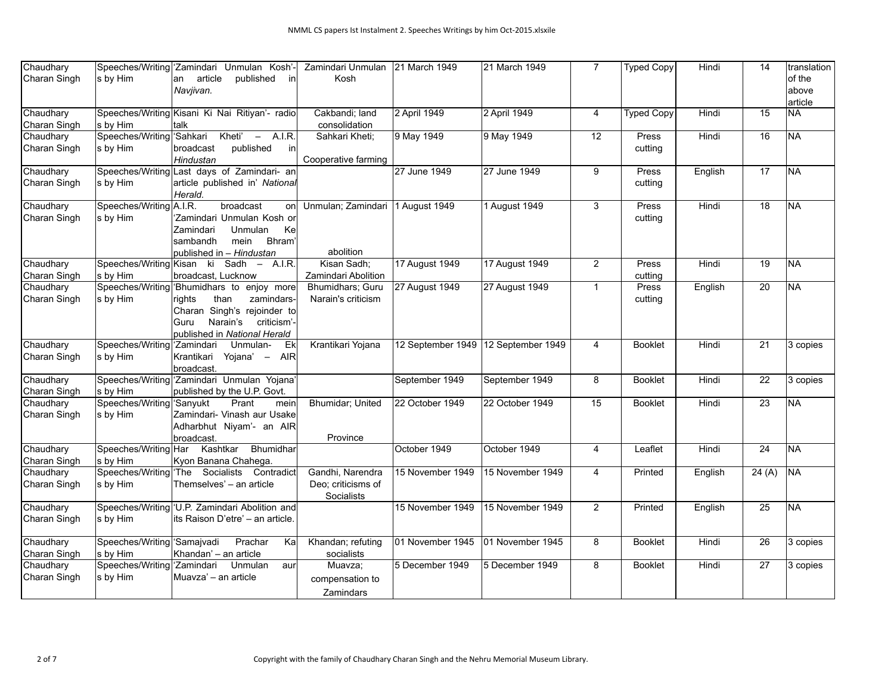| Chaudhary                 |                                       | Speeches/Writing 'Zamindari Unmulan Kosh'-               | Zamindari Unmulan   | 21 March 1949    | 21 March 1949                       | $\overline{7}$ | <b>Typed Copy</b> | Hindi   | 14              | translation              |
|---------------------------|---------------------------------------|----------------------------------------------------------|---------------------|------------------|-------------------------------------|----------------|-------------------|---------|-----------------|--------------------------|
| Charan Singh              | s by Him                              | article<br>an<br>published<br>in l                       | Kosh                |                  |                                     |                |                   |         |                 | of the                   |
|                           |                                       | Navjivan.                                                |                     |                  |                                     |                |                   |         |                 | above                    |
|                           |                                       |                                                          |                     |                  |                                     |                |                   |         |                 | article                  |
| Chaudhary                 |                                       | Speeches/Writing Kisani Ki Nai Ritiyan'- radio           | Cakbandi; land      | 2 April 1949     | 2 April 1949                        | $\overline{4}$ | <b>Typed Copy</b> | Hindi   | $\overline{15}$ | <b>NA</b>                |
| Charan Singh              | s by Him                              | talk                                                     | consolidation       |                  |                                     |                |                   |         |                 |                          |
| Chaudhary                 | Speeches/Writing Sahkari              | Kheti' $-$ A.I.R.                                        | Sahkari Kheti;      | 9 May 1949       | 9 May 1949                          | 12             | Press             | Hindi   | 16              | <b>NA</b>                |
| Charan Singh              | s by Him                              | published<br>broadcast<br>inl                            |                     |                  |                                     |                | cutting           |         |                 |                          |
|                           |                                       | Hindustan                                                | Cooperative farming |                  |                                     |                |                   |         |                 |                          |
| Chaudhary                 |                                       | Speeches/Writing Last days of Zamindari- an              |                     | 27 June 1949     | 27 June 1949                        | 9              | Press             | English | $\overline{17}$ | <b>NA</b>                |
| Charan Singh              | s by Him                              | article published in' National                           |                     |                  |                                     |                | cutting           |         |                 |                          |
|                           |                                       | Herald.                                                  |                     |                  |                                     |                |                   |         |                 |                          |
| Chaudhary                 | Speeches/Writing   A.I.R.             | broadcast<br>on                                          | Unmulan; Zamindari  | 1 August 1949    | 1 August 1949                       | 3              | Press             | Hindi   | $\overline{18}$ | <b>NA</b>                |
| Charan Singh              | s by Him                              | 'Zamindari Unmulan Kosh or                               |                     |                  |                                     |                | cutting           |         |                 |                          |
|                           |                                       | <b>Unmulan</b><br>Zamindari<br>Ke                        |                     |                  |                                     |                |                   |         |                 |                          |
|                           |                                       | Bhram <sup>®</sup><br>sambandh<br>mein                   |                     |                  |                                     |                |                   |         |                 |                          |
|                           |                                       | published in - Hindustan                                 | abolition           |                  |                                     |                |                   |         |                 |                          |
| Chaudhary                 |                                       | Speeches/Writing Kisan ki Sadh - A.I.R.                  | Kisan Sadh;         | 17 August 1949   | 17 August 1949                      | $\overline{2}$ | Press             | Hindi   | $\overline{19}$ | <b>NA</b>                |
| Charan Singh              | s by Him                              | broadcast, Lucknow                                       | Zamindari Abolition |                  |                                     |                | cutting           |         |                 |                          |
| Chaudhary                 |                                       | Speeches/Writing Bhumidhars to enjoy more                | Bhumidhars; Guru    | 27 August 1949   | 27 August 1949                      | $\mathbf{1}$   | Press             | English | $\overline{20}$ | <b>NA</b>                |
| Charan Singh              | s by Him                              | rights<br>than<br>zamindars-                             | Narain's criticism  |                  |                                     |                | cutting           |         |                 |                          |
|                           |                                       | Charan Singh's rejoinder to                              |                     |                  |                                     |                |                   |         |                 |                          |
|                           |                                       | Narain's<br>criticism'-<br>Guru                          |                     |                  |                                     |                |                   |         |                 |                          |
|                           |                                       |                                                          |                     |                  |                                     |                |                   |         |                 |                          |
| Chaudhary                 | Speeches/Writing 'Zamindari           | published in National Herald<br>Unmulan-<br>Ek           | Krantikari Yojana   |                  | 12 September 1949 12 September 1949 | $\overline{4}$ | <b>Booklet</b>    | Hindi   | $\overline{21}$ | $3$ copies               |
| Charan Singh              |                                       | Krantikari<br>Yojana' - AIR                              |                     |                  |                                     |                |                   |         |                 |                          |
|                           | s by Him                              |                                                          |                     |                  |                                     |                |                   |         |                 |                          |
| Chaudhary                 |                                       | broadcast.<br>Speeches/Writing 'Zamindari Unmulan Yojana |                     | September 1949   | September 1949                      | 8              | <b>Booklet</b>    | Hindi   | $\overline{22}$ | 3 copies                 |
|                           |                                       |                                                          |                     |                  |                                     |                |                   |         |                 |                          |
| Charan Singh<br>Chaudhary | s by Him<br>Speeches/Writing 'Sanyukt | published by the U.P. Govt.<br>Prant                     |                     | 22 October 1949  | 22 October 1949                     | 15             | <b>Booklet</b>    | Hindi   | $\overline{23}$ | $\overline{\mathsf{NA}}$ |
|                           |                                       | mein                                                     | Bhumidar; United    |                  |                                     |                |                   |         |                 |                          |
| Charan Singh              | s by Him                              | Zamindari- Vinash aur Usake                              |                     |                  |                                     |                |                   |         |                 |                          |
|                           |                                       | Adharbhut Niyam'- an AIR                                 |                     |                  |                                     |                |                   |         |                 |                          |
|                           |                                       | broadcast.                                               | Province            |                  |                                     |                |                   |         |                 |                          |
| Chaudhary                 | Speeches/Writing Har                  | Kashtkar<br>Bhumidhar                                    |                     | October 1949     | October 1949                        | $\overline{4}$ | Leaflet           | Hindi   | $\overline{24}$ | <b>NA</b>                |
| Charan Singh              | s by Him                              | Kyon Banana Chahega.                                     |                     |                  |                                     |                |                   |         |                 |                          |
| Chaudhary                 |                                       | Speeches/Writing The Socialists Contradict               | Gandhi, Narendra    | 15 November 1949 | 15 November 1949                    | $\overline{4}$ | Printed           | English | 24(A)           | NA                       |
| Charan Singh              | $ s\>$ by Him                         | Themselves' - an article                                 | Deo; criticisms of  |                  |                                     |                |                   |         |                 |                          |
|                           |                                       |                                                          | Socialists          |                  |                                     |                |                   |         |                 |                          |
| Chaudhary                 |                                       | Speeches/Writing 'U.P. Zamindari Abolition and           |                     | 15 November 1949 | 15 November 1949                    | 2              | Printed           | English | 25              | <b>NA</b>                |
| Charan Singh              | $ s\>$ by Him                         | its Raison D'etre' - an article.                         |                     |                  |                                     |                |                   |         |                 |                          |
|                           |                                       |                                                          |                     |                  |                                     |                |                   |         |                 |                          |
| Chaudhary                 | Speeches/Writing Samajvadi            | Prachar<br>Ka                                            | Khandan; refuting   | 01 November 1945 | 01 November 1945                    | 8              | <b>Booklet</b>    | Hindi   | $\overline{26}$ | 3 copies                 |
| Charan Singh              | s by Him                              | Khandan' - an article                                    | socialists          |                  |                                     |                |                   |         |                 |                          |
| Chaudhary                 | Speeches/Writing 'Zamindari           | Unmulan<br>aur                                           | Muavza;             | 5 December 1949  | 5 December 1949                     | 8              | <b>Booklet</b>    | Hindi   | $\overline{27}$ | 3 copies                 |
| Charan Singh              | s by Him                              | Muavza' - an article                                     | compensation to     |                  |                                     |                |                   |         |                 |                          |
|                           |                                       |                                                          | Zamindars           |                  |                                     |                |                   |         |                 |                          |
|                           |                                       |                                                          |                     |                  |                                     |                |                   |         |                 |                          |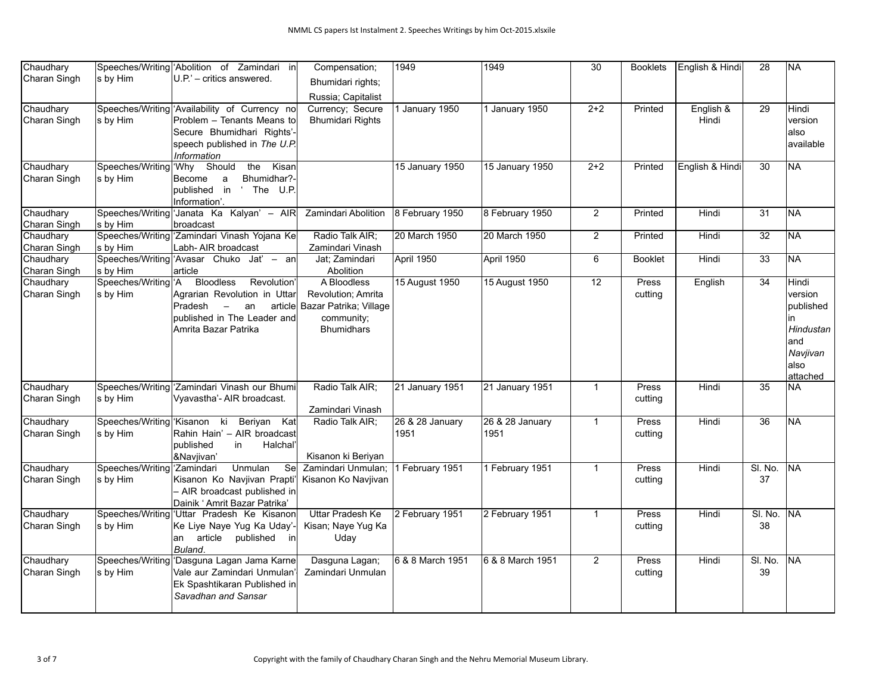| Chaudhary                 |                                 | Speeches/Writing Abolition of Zamindari in                       | Compensation;                  | 1949                    | 1949                    | $\overline{30}$ | <b>Booklets</b> | English & Hindi | $\overline{28}$ | <b>NA</b> |
|---------------------------|---------------------------------|------------------------------------------------------------------|--------------------------------|-------------------------|-------------------------|-----------------|-----------------|-----------------|-----------------|-----------|
| Charan Singh              | s by Him                        | $ U.P' -$ critics answered.                                      | Bhumidari rights:              |                         |                         |                 |                 |                 |                 |           |
|                           |                                 |                                                                  | Russia; Capitalist             |                         |                         |                 |                 |                 |                 |           |
| Chaudhary                 |                                 | Speeches/Writing 'Availability of Currency no                    | Currency; Secure               | January 1950            | 1 January 1950          | $2+2$           | Printed         | English &       | 29              | Hindi     |
| Charan Singh              | s by Him                        | Problem - Tenants Means to                                       | <b>Bhumidari Rights</b>        |                         |                         |                 |                 | Hindi           |                 | version   |
|                           |                                 | Secure Bhumidhari Rights'-                                       |                                |                         |                         |                 |                 |                 |                 | lalso     |
|                           |                                 | speech published in The U.P.                                     |                                |                         |                         |                 |                 |                 |                 | available |
|                           |                                 | Information                                                      |                                |                         |                         |                 |                 |                 |                 |           |
| Chaudhary                 | Speeches/Writing 'Why Should    | the Kisan                                                        |                                | 15 January 1950         | 15 January 1950         | $2 + 2$         | Printed         | English & Hindi | $\overline{30}$ | <b>NA</b> |
| Charan Singh              | s by Him                        | Bhumidhar?-<br>Become<br>a                                       |                                |                         |                         |                 |                 |                 |                 |           |
|                           |                                 | published in<br>' The U.P.                                       |                                |                         |                         |                 |                 |                 |                 |           |
|                           |                                 | Information'.                                                    |                                |                         |                         |                 |                 |                 |                 |           |
| Chaudhary                 |                                 | Speeches/Writing Janata Ka Kalyan' - AIR                         | Zamindari Abolition            | 8 February 1950         | 8 February 1950         | $\mathbf{2}$    | Printed         | Hindi           | $\overline{31}$ | NA        |
| Charan Singh<br>Chaudhary | s by Him                        | <b>broadcast</b><br>Speeches/Writing 'Zamindari Vinash Yojana Ke | Radio Talk AIR;                | 20 March 1950           | 20 March 1950           | $\overline{2}$  | Printed         | Hindi           | $\overline{32}$ | <b>NA</b> |
| Charan Singh              | s by Him                        | Labh- AIR broadcast                                              | Zamindari Vinash               |                         |                         |                 |                 |                 |                 |           |
| Chaudhary                 |                                 | Speeches/Writing 'Avasar Chuko Jat' - an                         | Jat; Zamindari                 | April 1950              | April 1950              | 6               | <b>Booklet</b>  | Hindi           | 33              | NA        |
| Charan Singh              | s by Him                        | article                                                          | Abolition                      |                         |                         |                 |                 |                 |                 |           |
| Chaudhary                 | Speeches/Writing <sup>1</sup> A | <b>Bloodless</b><br>Revolution                                   | A Bloodless                    | 15 August 1950          | 15 August 1950          | $\overline{12}$ | Press           | English         | $\overline{34}$ | Hindi     |
| Charan Singh              | $ s\>$ by Him                   | Agrarian Revolution in Uttar                                     | <b>Revolution</b> ; Amrita     |                         |                         |                 | cutting         |                 |                 | version   |
|                           |                                 | lPradesh<br>$\overline{\phantom{0}}$<br>an                       | article Bazar Patrika; Village |                         |                         |                 |                 |                 |                 | published |
|                           |                                 | published in The Leader and                                      | community;                     |                         |                         |                 |                 |                 |                 | in        |
|                           |                                 | Amrita Bazar Patrika                                             | <b>Bhumidhars</b>              |                         |                         |                 |                 |                 |                 | Hindustan |
|                           |                                 |                                                                  |                                |                         |                         |                 |                 |                 |                 | and       |
|                           |                                 |                                                                  |                                |                         |                         |                 |                 |                 |                 | Navjivan  |
|                           |                                 |                                                                  |                                |                         |                         |                 |                 |                 |                 | also      |
|                           |                                 |                                                                  |                                |                         |                         |                 |                 |                 |                 | attached  |
| Chaudhary                 |                                 | Speeches/Writing Zamindari Vinash our Bhumi                      | Radio Talk AIR;                | 21 January 1951         | 21 January 1951         | $\mathbf{1}$    | Press           | Hindi           | $\overline{35}$ | <b>NA</b> |
| Charan Singh              | s by Him                        | Vyavastha'- AIR broadcast.                                       |                                |                         |                         |                 | cutting         |                 |                 |           |
|                           |                                 |                                                                  | Zamindari Vinash               |                         |                         |                 |                 |                 |                 |           |
| Chaudhary                 | Speeches/Writing Kisanon ki     | Beriyan Kat<br>Rahin Hain' - AIR broadcast                       | Radio Talk AIR;                | 26 & 28 January<br>1951 | 26 & 28 January<br>1951 | $\mathbf{1}$    | Press           | Hindi           | $\overline{36}$ | <b>NA</b> |
| Charan Singh              | $ s\>$ by Him                   | published<br>Halchal<br>in                                       |                                |                         |                         |                 | cutting         |                 |                 |           |
|                           |                                 | &Navjivan'                                                       | Kisanon ki Beriyan             |                         |                         |                 |                 |                 |                 |           |
| Chaudhary                 | Speeches/Writing 'Zamindari     | Unmulan<br>Se                                                    | Zamindari Unmulan;             | 1 February 1951         | 1 February 1951         | $\mathbf{1}$    | Press           | Hindi           | SI. No.         | <b>NA</b> |
| Charan Singh              | s by Him                        | Kisanon Ko Navjivan Prapti'                                      | Kisanon Ko Navjivan            |                         |                         |                 | cutting         |                 | 37              |           |
|                           |                                 | - AIR broadcast published in                                     |                                |                         |                         |                 |                 |                 |                 |           |
|                           |                                 | Dainik ' Amrit Bazar Patrika'                                    |                                |                         |                         |                 |                 |                 |                 |           |
| Chaudhary                 |                                 | Speeches/Writing 'Uttar Pradesh Ke Kisanon                       | <b>Uttar Pradesh Ke</b>        | 2 February 1951         | 2 February 1951         | $\mathbf{1}$    | Press           | Hindi           | SI. No.         | <b>NA</b> |
| Charan Singh              | s by Him                        | Ke Liye Naye Yug Ka Uday'-                                       | Kisan; Naye Yug Ka             |                         |                         |                 | cutting         |                 | 38              |           |
|                           |                                 | an article published in                                          | Uday                           |                         |                         |                 |                 |                 |                 |           |
|                           |                                 | Buland.                                                          |                                |                         |                         |                 |                 |                 |                 |           |
| Chaudhary                 |                                 | Speeches/Writing 'Dasguna Lagan Jama Karne                       | Dasguna Lagan;                 | 6 & 8 March 1951        | 6 & 8 March 1951        | $\overline{2}$  | Press           | Hindi           | SI. No.         | <b>NA</b> |
| Charan Singh              | s by Him                        | Vale aur Zamindari Unmulan                                       | Zamindari Unmulan              |                         |                         |                 | cutting         |                 | 39              |           |
|                           |                                 | Ek Spashtikaran Published in                                     |                                |                         |                         |                 |                 |                 |                 |           |
|                           |                                 | Savadhan and Sansar                                              |                                |                         |                         |                 |                 |                 |                 |           |
|                           |                                 |                                                                  |                                |                         |                         |                 |                 |                 |                 |           |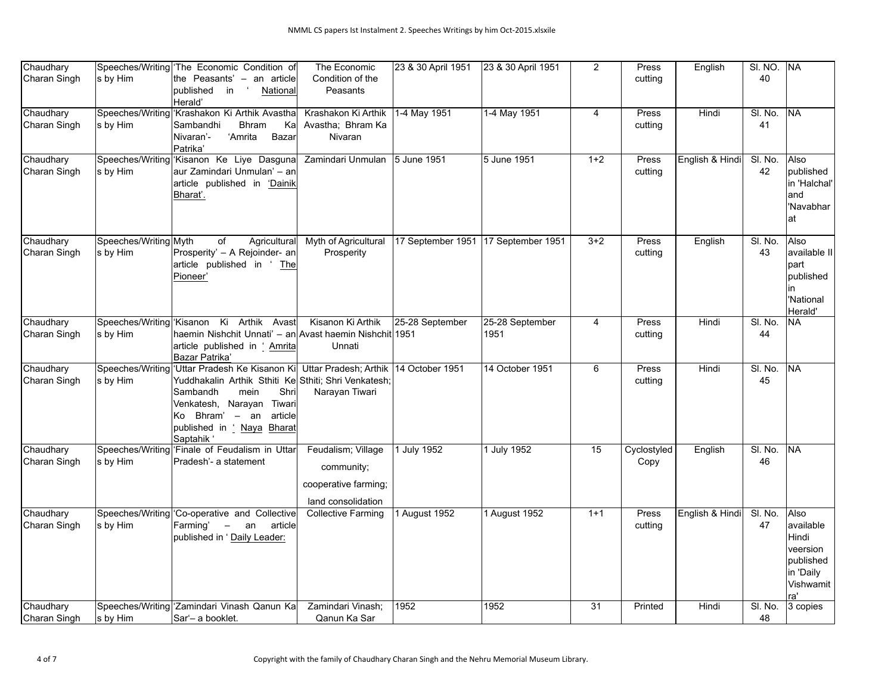| Chaudhary                 |                       | Speeches/Writing The Economic Condition of                               | The Economic                            | 23 & 30 April 1951                  | 23 & 30 April 1951 | 2              | Press       | English         | <b>SI. NO.</b> | lna               |
|---------------------------|-----------------------|--------------------------------------------------------------------------|-----------------------------------------|-------------------------------------|--------------------|----------------|-------------|-----------------|----------------|-------------------|
| Charan Singh              | s by Him              | the Peasants' - an article                                               | Condition of the                        |                                     |                    |                | cutting     |                 | 40             |                   |
|                           |                       | published in<br>National                                                 | Peasants                                |                                     |                    |                |             |                 |                |                   |
|                           |                       | Herald'                                                                  |                                         |                                     |                    |                |             |                 |                |                   |
| Chaudhary                 |                       | Speeches/Writing 'Krashakon Ki Arthik Avastha                            | Krashakon Ki Arthik                     | 1-4 May 1951                        | 1-4 May 1951       | $\overline{4}$ | Press       | Hindi           | SI. No.        | INA               |
| Charan Singh              | s by Him              | <b>Bhram</b><br>Sambandhi<br>Ka                                          | Avastha; Bhram Ka                       |                                     |                    |                | cutting     |                 | 41             |                   |
|                           |                       | Nivaran'-<br>'Amrita<br>Bazar                                            | Nivaran                                 |                                     |                    |                |             |                 |                |                   |
|                           |                       | Patrika'                                                                 |                                         |                                     |                    |                |             |                 |                |                   |
| Chaudhary<br>Charan Singh |                       | Speeches/Writing Kisanon Ke Liye Dasguna<br>laur Zamindari Unmulan' – an | Zamindari Unmulan                       | 5 June 1951                         | 5 June 1951        | $1+2$          | Press       | English & Hindi | SI. No.<br>42  | Also<br>published |
|                           | s by Him              | article published in 'Dainik                                             |                                         |                                     |                    |                | cutting     |                 |                | in 'Halchal'      |
|                           |                       | Bharat'.                                                                 |                                         |                                     |                    |                |             |                 |                | and               |
|                           |                       |                                                                          |                                         |                                     |                    |                |             |                 |                | 'Navabhar         |
|                           |                       |                                                                          |                                         |                                     |                    |                |             |                 |                | lat               |
|                           |                       |                                                                          |                                         |                                     |                    |                |             |                 |                |                   |
| Chaudhary                 | Speeches/Writing Myth | Agricultural<br>of                                                       | Myth of Agricultural                    | 17 September 1951 17 September 1951 |                    | $3 + 2$        | Press       | English         | SI. No.        | Also              |
| Charan Singh              | s by Him              | Prosperity' - A Rejoinder- an                                            | Prosperity                              |                                     |                    |                | cutting     |                 | 43             | available II      |
|                           |                       | article published in 'The                                                |                                         |                                     |                    |                |             |                 |                | part              |
|                           |                       | Pioneer'                                                                 |                                         |                                     |                    |                |             |                 |                | published         |
|                           |                       |                                                                          |                                         |                                     |                    |                |             |                 |                | in                |
|                           |                       |                                                                          |                                         |                                     |                    |                |             |                 |                | 'National         |
|                           |                       | Speeches/Writing Kisanon Ki Arthik Avast                                 | Kisanon Ki Arthik                       | 25-28 September                     | 25-28 September    |                | Press       | Hindi           | SI. No.        | Herald'           |
| Chaudhary<br>Charan Singh | s by Him              | haemin Nishchit Unnati' - an Avast haemin Nishchit 1951                  |                                         |                                     | 1951               | 4              | cutting     |                 | 44             | NA.               |
|                           |                       | article published in ' Amrita                                            | Unnati                                  |                                     |                    |                |             |                 |                |                   |
|                           |                       | Bazar Patrika'                                                           |                                         |                                     |                    |                |             |                 |                |                   |
| Chaudhary                 |                       | Speeches/Writing 'Uttar Pradesh Ke Kisanon Ki                            | Uttar Pradesh; Arthik   14 October 1951 |                                     | 14 October 1951    | 6              | Press       | Hindi           | SI. No.        | <b>NA</b>         |
| Charan Singh              | s by Him              | Yuddhakalin Arthik Sthiti Ke Sthiti; Shri Venkatesh;                     |                                         |                                     |                    |                | cutting     |                 | 45             |                   |
|                           |                       | mein<br>Sambandh<br>Shri                                                 | Narayan Tiwari                          |                                     |                    |                |             |                 |                |                   |
|                           |                       | Venkatesh, Narayan Tiwari                                                |                                         |                                     |                    |                |             |                 |                |                   |
|                           |                       | Bhram' - an<br>article<br>Ko.                                            |                                         |                                     |                    |                |             |                 |                |                   |
|                           |                       | published in ' Naya Bharat                                               |                                         |                                     |                    |                |             |                 |                |                   |
|                           |                       | Saptahik '                                                               |                                         |                                     |                    |                |             |                 |                |                   |
| Chaudhary                 |                       | Speeches/Writing Finale of Feudalism in Uttar<br>Pradesh'- a statement   | Feudalism; Village                      | 1 July 1952                         | 1 July 1952        | 15             | Cyclostyled | English         | SI. No.<br>46  | <b>NA</b>         |
| Charan Singh              | s by Him              |                                                                          | community;                              |                                     |                    |                | Copy        |                 |                |                   |
|                           |                       |                                                                          | cooperative farming;                    |                                     |                    |                |             |                 |                |                   |
|                           |                       |                                                                          | land consolidation                      |                                     |                    |                |             |                 |                |                   |
| Chaudhary                 |                       | Speeches/Writing Co-operative and Collective                             | <b>Collective Farming</b>               | 1 August 1952                       | 1 August 1952      | $1 + 1$        | Press       | English & Hindi | SI. No.        | Also              |
| Charan Singh              | s by Him              | Farming'<br>$\sim$ $-$<br>an<br>article                                  |                                         |                                     |                    |                | cutting     |                 | 47             | available         |
|                           |                       | published in 'Daily Leader:                                              |                                         |                                     |                    |                |             |                 |                | Hindi             |
|                           |                       |                                                                          |                                         |                                     |                    |                |             |                 |                | veersion          |
|                           |                       |                                                                          |                                         |                                     |                    |                |             |                 |                | published         |
|                           |                       |                                                                          |                                         |                                     |                    |                |             |                 |                | in 'Daily         |
|                           |                       |                                                                          |                                         |                                     |                    |                |             |                 |                | Vishwamit<br>ra'  |
| Chaudhary                 |                       | Speeches/Writing Zamindari Vinash Qanun Ka                               | Zamindari Vinash;                       | 1952                                | 1952               | 31             | Printed     | Hindi           | SI. No.        | 3 copies          |
| Charan Singh              | s by Him              | Sar'- a booklet.                                                         | Qanun Ka Sar                            |                                     |                    |                |             |                 | 48             |                   |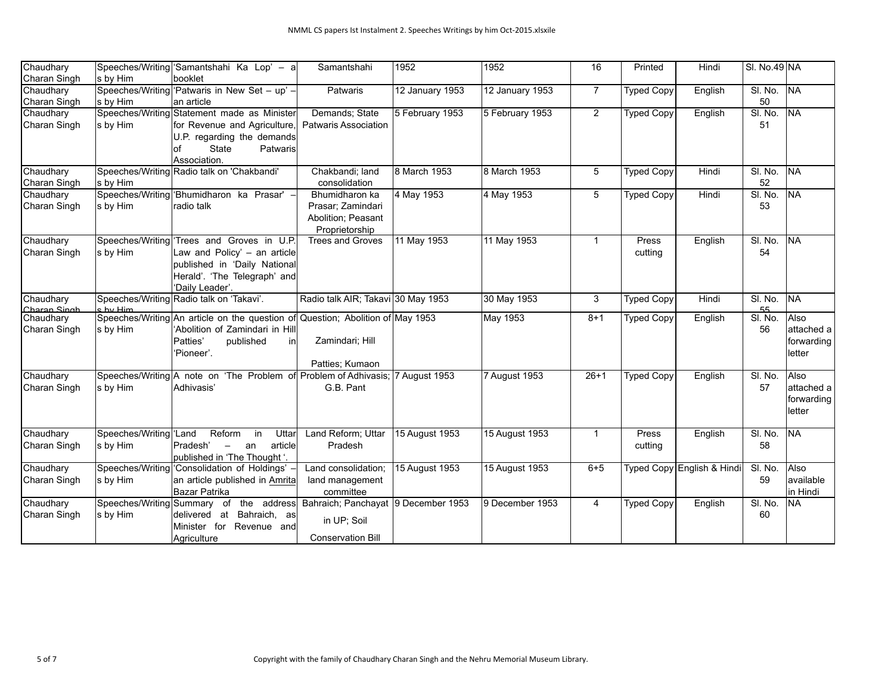| Chaudhary    |                          | Speeches/Writing 'Samantshahi Ka Lop' - a                                      | Samantshahi                         | 1952            | 1952            | 16             | Printed           | Hindi                      | SI. No.49 NA |            |
|--------------|--------------------------|--------------------------------------------------------------------------------|-------------------------------------|-----------------|-----------------|----------------|-------------------|----------------------------|--------------|------------|
| Charan Singh | s by Him                 | booklet                                                                        |                                     |                 |                 |                |                   |                            |              |            |
| Chaudhary    |                          | Speeches/Writing 'Patwaris in New Set - up' -                                  | Patwaris                            | 12 January 1953 | 12 January 1953 | $\overline{7}$ | <b>Typed Copy</b> | English                    | SI. No.      | NA         |
| Charan Singh | s by Him                 | lan article                                                                    |                                     |                 |                 |                |                   |                            | 50           |            |
| Chaudhary    |                          | Speeches/Writing Statement made as Minister                                    | Demands; State                      | 5 February 1953 | 5 February 1953 | $\overline{2}$ | <b>Typed Copy</b> | English                    | SI. No.      | <b>NA</b>  |
| Charan Singh | s by Him                 | for Revenue and Agriculture,                                                   | <b>Patwaris Association</b>         |                 |                 |                |                   |                            | 51           |            |
|              |                          | U.P. regarding the demands                                                     |                                     |                 |                 |                |                   |                            |              |            |
|              |                          | State<br>Patwaris<br>lof                                                       |                                     |                 |                 |                |                   |                            |              |            |
|              |                          | Association.                                                                   |                                     |                 |                 |                |                   |                            |              |            |
| Chaudhary    |                          | Speeches/Writing Radio talk on 'Chakbandi'                                     | Chakbandi; land                     | 8 March 1953    | 8 March 1953    | 5              | <b>Typed Copy</b> | Hindi                      | SI. No.      | INA        |
| Charan Singh | s by Him                 |                                                                                | consolidation                       |                 |                 |                |                   |                            | 52           |            |
| Chaudhary    |                          | Speeches/Writing Bhumidharon ka Prasar' -                                      | Bhumidharon ka                      | 4 May 1953      | 4 May 1953      | 5              | <b>Typed Copy</b> | Hindi                      | SI. No.      | <b>NA</b>  |
| Charan Singh | $ s\>$ by Him            | radio talk                                                                     | Prasar; Zamindari                   |                 |                 |                |                   |                            | 53           |            |
|              |                          |                                                                                | Abolition; Peasant                  |                 |                 |                |                   |                            |              |            |
|              |                          |                                                                                | Proprietorship                      |                 |                 |                |                   |                            |              |            |
| Chaudhary    |                          | Speeches/Writing Trees and Groves in U.P.                                      | <b>Trees and Groves</b>             | 11 May 1953     | 11 May 1953     | 1              | Press             | English                    | SI. No.      | <b>NA</b>  |
| Charan Singh | $ s\>$ by Him            | Law and Policy' - an article                                                   |                                     |                 |                 |                | cutting           |                            | 54           |            |
|              |                          | published in 'Daily National                                                   |                                     |                 |                 |                |                   |                            |              |            |
|              |                          | Herald'. 'The Telegraph' and                                                   |                                     |                 |                 |                |                   |                            |              |            |
|              |                          | 'Daily Leader'.                                                                |                                     |                 |                 |                |                   |                            |              |            |
| Chaudhary    |                          | Speeches/Writing Radio talk on 'Takavi'.                                       | Radio talk AIR; Takavi 30 May 1953  |                 | 30 May 1953     | 3              | <b>Typed Copy</b> | Hindi                      | SI. No.      | <b>NA</b>  |
| Charan Singh | s hy Him                 |                                                                                |                                     |                 |                 |                |                   |                            | 55           |            |
| Chaudhary    |                          | Speeches/Writing An article on the question of Question; Abolition of May 1953 |                                     |                 | May 1953        | $8 + 1$        | <b>Typed Copy</b> | English                    | SI. No.      | Also       |
| Charan Singh | $ s\>$ by Him            | 'Abolition of Zamindari in Hill                                                |                                     |                 |                 |                |                   |                            | 56           | attached a |
|              |                          | Patties'<br>published<br>inl                                                   | Zamindari; Hill                     |                 |                 |                |                   |                            |              | forwarding |
|              |                          | 'Pioneer'.                                                                     |                                     |                 |                 |                |                   |                            |              | letter     |
| Chaudhary    |                          | Speeches/Writing A note on 'The Problem of Problem of Adhivasis; 7 August 1953 | Patties; Kumaon                     |                 |                 | $26 + 1$       |                   |                            | SI. No.      | Also       |
|              |                          |                                                                                |                                     |                 | 7 August 1953   |                | <b>Typed Copy</b> | English                    |              |            |
| Charan Singh | s by Him                 | İAdhivasis'                                                                    | G.B. Pant                           |                 |                 |                |                   |                            | 57           | attached a |
|              |                          |                                                                                |                                     |                 |                 |                |                   |                            |              | forwarding |
|              |                          |                                                                                |                                     |                 |                 |                |                   |                            |              | letter     |
| Chaudhary    | Speeches/Writing Land    | Reform<br>Uttar<br>in                                                          | Land Reform; Uttar                  | 15 August 1953  | 15 August 1953  | 1              | Press             | English                    | SI. No.      | <b>NA</b>  |
| Charan Singh | $ s\>$ by Him            | Pradesh'<br>article<br>$\sim$ $-$<br>an                                        | Pradesh                             |                 |                 |                | cutting           |                            | 58           |            |
|              |                          | published in 'The Thought '.                                                   |                                     |                 |                 |                |                   |                            |              |            |
| Chaudhary    |                          | Speeches/Writing   'Consolidation of Holdings' -                               | Land consolidation;                 | 15 August 1953  | 15 August 1953  | $6 + 5$        |                   | Typed Copy English & Hindi | SI. No.      | Also       |
| Charan Singh | s by Him                 | an article published in Amrita                                                 | land management                     |                 |                 |                |                   |                            | 59           | available  |
|              |                          | Bazar Patrika                                                                  | committee                           |                 |                 |                |                   |                            |              | in Hindi   |
| Chaudhary    | Speeches/Writing Summary | the address<br>of                                                              | Bahraich; Panchayat 9 December 1953 |                 | 9 December 1953 | $\overline{4}$ | <b>Typed Copy</b> | English                    | SI. No.      | NA         |
| Charan Singh | s by Him                 | Bahraich, as<br>delivered at                                                   |                                     |                 |                 |                |                   |                            | 60           |            |
|              |                          | Minister for Revenue and                                                       | in UP; Soil                         |                 |                 |                |                   |                            |              |            |
|              |                          | Agriculture                                                                    | <b>Conservation Bill</b>            |                 |                 |                |                   |                            |              |            |
|              |                          |                                                                                |                                     |                 |                 |                |                   |                            |              |            |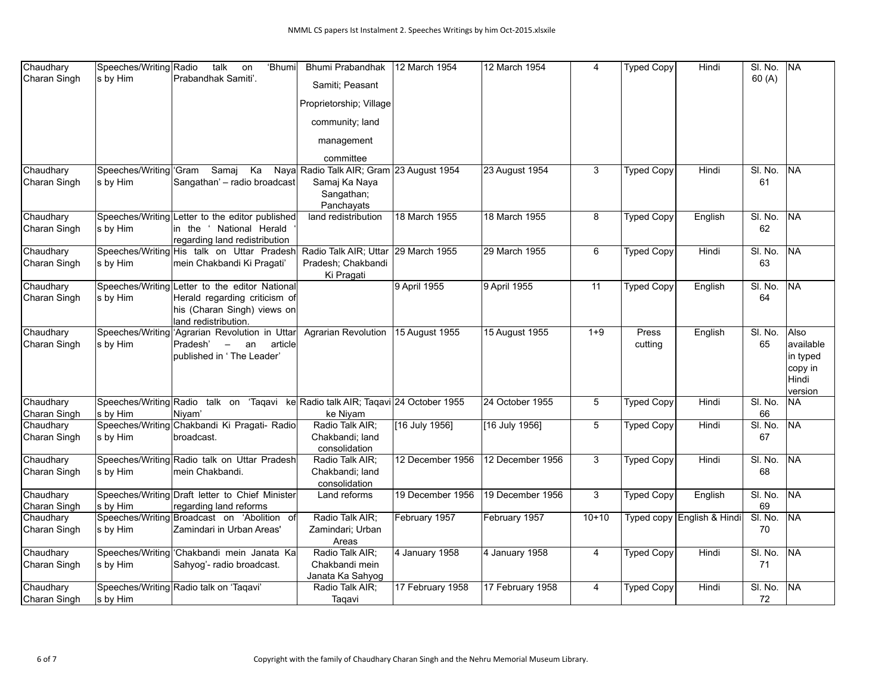| Chaudhary    | Speeches/Writing Radio | talk<br>'Bhumi<br>on                                                             | Bhumi Prabandhak                    | 12 March 1954    | 12 March 1954    | $\overline{4}$ | <b>Typed Copy</b> | Hindi                      | SI. No. | <b>NA</b>        |
|--------------|------------------------|----------------------------------------------------------------------------------|-------------------------------------|------------------|------------------|----------------|-------------------|----------------------------|---------|------------------|
| Charan Singh | s by Him               | Prabandhak Samiti'.                                                              | Samiti: Peasant                     |                  |                  |                |                   |                            | 60(A)   |                  |
|              |                        |                                                                                  |                                     |                  |                  |                |                   |                            |         |                  |
|              |                        |                                                                                  | Proprietorship; Village             |                  |                  |                |                   |                            |         |                  |
|              |                        |                                                                                  | community; land                     |                  |                  |                |                   |                            |         |                  |
|              |                        |                                                                                  | management                          |                  |                  |                |                   |                            |         |                  |
|              |                        |                                                                                  | committee                           |                  |                  |                |                   |                            |         |                  |
| Chaudhary    | Speeches/Writing Gram  | Samaj<br>Ka<br>Naya                                                              | Radio Talk AIR; Gram 23 August 1954 |                  | 23 August 1954   | 3              | <b>Typed Copy</b> | Hindi                      | SI. No. | <b>NA</b>        |
| Charan Singh | ∣s by Him              | Sangathan' - radio broadcast                                                     | Samaj Ka Naya                       |                  |                  |                |                   |                            | 61      |                  |
|              |                        |                                                                                  | Sangathan;                          |                  |                  |                |                   |                            |         |                  |
|              |                        |                                                                                  | Panchayats                          |                  |                  |                |                   |                            |         |                  |
| Chaudhary    |                        | Speeches/Writing Letter to the editor published                                  | land redistribution                 | 18 March 1955    | 18 March 1955    | 8              | <b>Typed Copy</b> | English                    | SI. No. | NA               |
| Charan Singh | s by Him               | in the ' National Herald                                                         |                                     |                  |                  |                |                   |                            | 62      |                  |
|              |                        | regarding land redistribution                                                    |                                     |                  |                  |                |                   |                            |         |                  |
| Chaudhary    |                        | Speeches/Writing His talk on Uttar Pradesh                                       | Radio Talk AIR; Uttar 29 March 1955 |                  | 29 March 1955    | 6              | <b>Typed Copy</b> | Hindi                      | SI. No. | lna              |
| Charan Singh | s by Him               | mein Chakbandi Ki Pragati'                                                       | Pradesh; Chakbandi                  |                  |                  |                |                   |                            | 63      |                  |
|              |                        |                                                                                  | Ki Pragati                          |                  |                  |                |                   |                            |         |                  |
| Chaudhary    |                        | Speeches/Writing Letter to the editor National                                   |                                     | 9 April 1955     | 9 April 1955     | 11             | <b>Typed Copy</b> | English                    | SI. No. | <b>NA</b>        |
| Charan Singh | s by Him               | Herald regarding criticism of                                                    |                                     |                  |                  |                |                   |                            | 64      |                  |
|              |                        | his (Charan Singh) views on                                                      |                                     |                  |                  |                |                   |                            |         |                  |
|              |                        | lland redistribution.                                                            |                                     |                  |                  |                |                   |                            |         |                  |
| Chaudhary    |                        | Speeches/Writing 'Agrarian Revolution in Uttar                                   | <b>Agrarian Revolution</b>          | 15 August 1955   | 15 August 1955   | $1 + 9$        | Press             | English                    | SI. No. | lAlso            |
| Charan Singh | s by Him               | Pradesh'<br>$\overline{\phantom{m}}$<br>an<br>article                            |                                     |                  |                  |                | cutting           |                            | 65      | available        |
|              |                        | published in 'The Leader'                                                        |                                     |                  |                  |                |                   |                            |         | in typed         |
|              |                        |                                                                                  |                                     |                  |                  |                |                   |                            |         | copy in          |
|              |                        |                                                                                  |                                     |                  |                  |                |                   |                            |         | Hindi<br>version |
| Chaudhary    |                        | Speeches/Writing Radio talk on 'Taqavi ke Radio talk AIR; Taqavi 24 October 1955 |                                     |                  | 24 October 1955  | 5              | <b>Typed Copy</b> | Hindi                      | SI. No. | <b>NA</b>        |
| Charan Singh | s by Him               | Niyam'                                                                           | ke Niyam                            |                  |                  |                |                   |                            | 66      |                  |
| Chaudhary    |                        | Speeches/Writing Chakbandi Ki Pragati- Radio                                     | Radio Talk AIR;                     | [16 July 1956]   | [16 July 1956]   | 5              | <b>Typed Copy</b> | Hindi                      | SI. No. | <b>NA</b>        |
| Charan Singh | s by Him               | broadcast.                                                                       | Chakbandi; land                     |                  |                  |                |                   |                            | 67      |                  |
|              |                        |                                                                                  | consolidation                       |                  |                  |                |                   |                            |         |                  |
| Chaudhary    |                        | Speeches/Writing Radio talk on Uttar Pradesh                                     | Radio Talk AIR;                     | 12 December 1956 | 12 December 1956 | 3              | <b>Typed Copy</b> | Hindi                      | SI. No. | NA               |
| Charan Singh | s by Him               | mein Chakbandi.                                                                  | Chakbandi; land                     |                  |                  |                |                   |                            | 68      |                  |
|              |                        |                                                                                  | consolidation                       |                  |                  |                |                   |                            |         |                  |
| Chaudhary    |                        | Speeches/Writing Draft letter to Chief Minister                                  | Land reforms                        | 19 December 1956 | 19 December 1956 | 3              | <b>Typed Copy</b> | English                    | SI. No. | NA               |
| Charan Singh | s by Him               | regarding land reforms                                                           |                                     |                  |                  |                |                   |                            | 69      |                  |
| Chaudhary    |                        | Speeches/Writing Broadcast on 'Abolition of                                      | Radio Talk AIR;                     | February 1957    | February 1957    | $10+10$        |                   | Typed copy English & Hindi | SI. No. | NA               |
| Charan Singh | s by Him               | Zamindari in Urban Areas'                                                        | Zamindari; Urban                    |                  |                  |                |                   |                            | 70      |                  |
|              |                        |                                                                                  | Areas                               |                  |                  |                |                   |                            |         |                  |
| Chaudhary    |                        | Speeches/Writing Chakbandi mein Janata Ka                                        | Radio Talk AIR;                     | 4 January 1958   | 4 January 1958   | $\overline{4}$ | <b>Typed Copy</b> | Hindi                      | SI. No. | <b>NA</b>        |
| Charan Singh | s by Him               | Sahyog'- radio broadcast.                                                        | Chakbandi mein                      |                  |                  |                |                   |                            | 71      |                  |
|              |                        |                                                                                  | Janata Ka Sahyog                    |                  |                  |                |                   |                            |         |                  |
| Chaudhary    |                        | Speeches/Writing Radio talk on 'Taqavi'                                          | Radio Talk AIR;                     | 17 February 1958 | 17 February 1958 | $\overline{4}$ | <b>Typed Copy</b> | Hindi                      | SI. No. | <b>NA</b>        |
| Charan Singh | s by Him               |                                                                                  | Taqavi                              |                  |                  |                |                   |                            | 72      |                  |